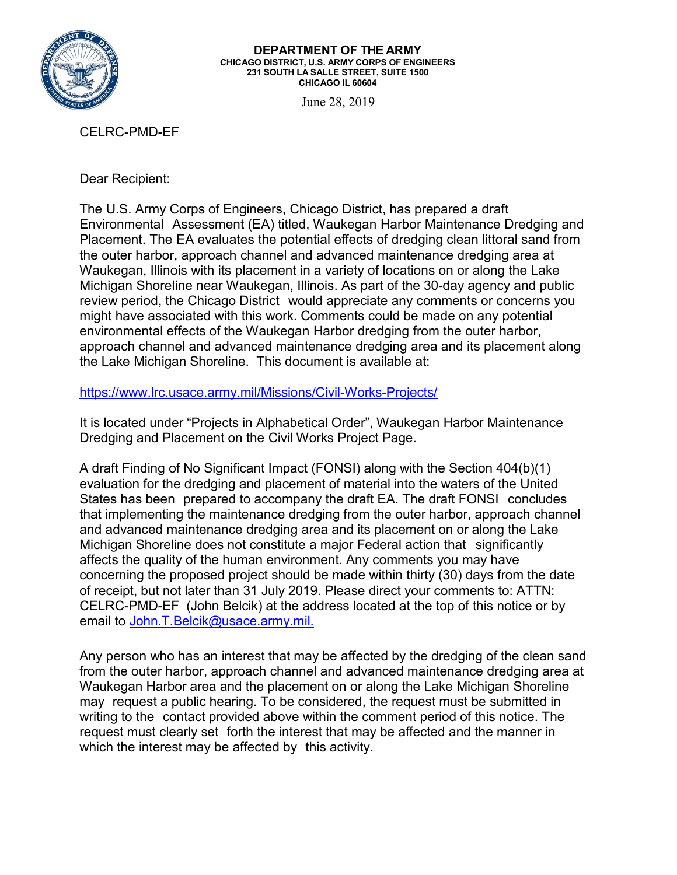

## **DEPARTMENT OF THE ARMY CHICAGO DISTRICT, U.S. ARMY CORPS OF ENGINEERS 231 SOUTH LA SALLE STREET, SUITE 1500 CHICAGO IL 60604**

June 28, 2019

CELRC-PMD-EF

Dear Recipient:

The U.S. Army Corps of Engineers, Chicago District, has prepared a draft Environmental Assessment (EA) titled, Waukegan Harbor Maintenance Dredging and Placement. The EA evaluates the potential effects of dredging clean littoral sand from the outer harbor, approach channel and advanced maintenance dredging area at Waukegan, Illinois with its placement in a variety of locations on or along the Lake Michigan Shoreline near Waukegan, Illinois. As part of the 30-day agency and public review period, the Chicago District would appreciate any comments or concerns you might have associated with this work. Comments could be made on any potential environmental effects of the Waukegan Harbor dredging from the outer harbor, approach channel and advanced maintenance dredging area and its placement along the Lake Michigan Shoreline. This document is available at:

<https://www.lrc.usace.army.mil/Missions/Civil-Works-Projects/>

It is located under "Projects in Alphabetical Order", Waukegan Harbor Maintenance Dredging and Placement on the Civil Works Project Page.

A draft Finding of No Significant Impact (FONSI) along with the Section 404(b)(1) evaluation for the dredging and placement of material into the waters of the United States has been prepared to accompany the draft EA. The draft FONSI concludes that implementing the maintenance dredging from the outer harbor, approach channel and advanced maintenance dredging area and its placement on or along the Lake Michigan Shoreline does not constitute a major Federal action that significantly affects the quality of the human environment. Any comments you may have concerning the proposed project should be made within thirty (30) days from the date of receipt, but not later than 31 July 2019. Please direct your comments to: ATTN: CELRC-PMD-EF (John Belcik) at the address located at the top of this notice or by email to John.T.Belcik@usace.army.mil.

Any person who has an interest that may be affected by the dredging of the clean sand from the outer harbor, approach channel and advanced maintenance dredging area at Waukegan Harbor area and the placement on or along the Lake Michigan Shoreline may request a public hearing. To be considered, the request must be submitted in writing to the contact provided above within the comment period of this notice. The request must clearly set forth the interest that may be affected and the manner in which the interest may be affected by this activity.